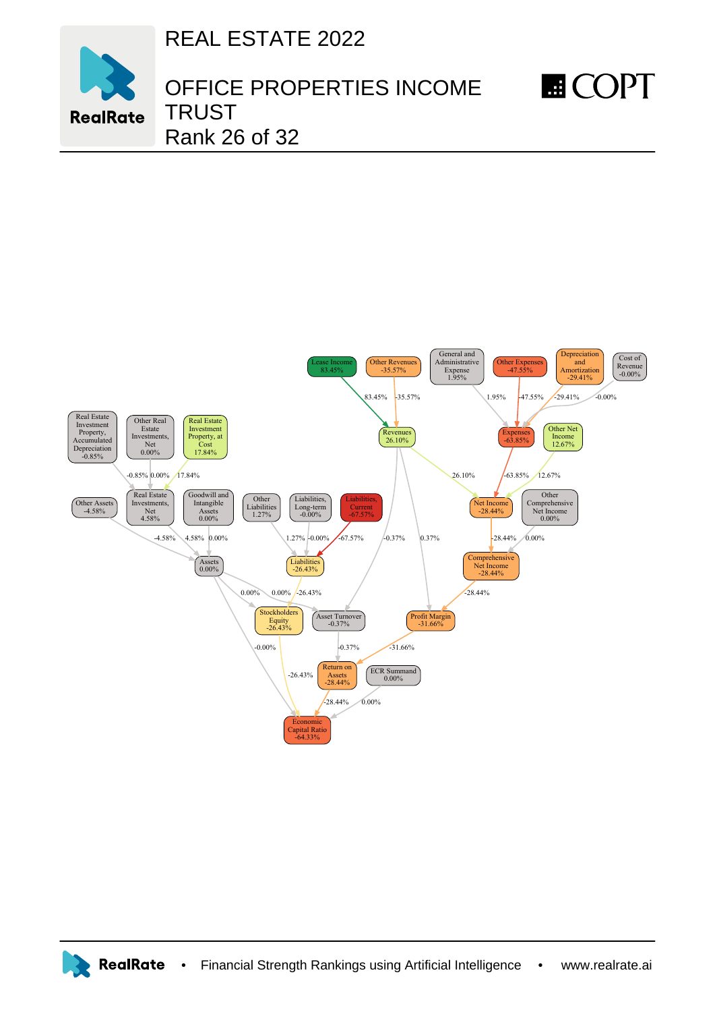REAL ESTATE 2022



## OFFICE PROPERTIES INCOME TRUST Rank 26 of 32

**E**COPT